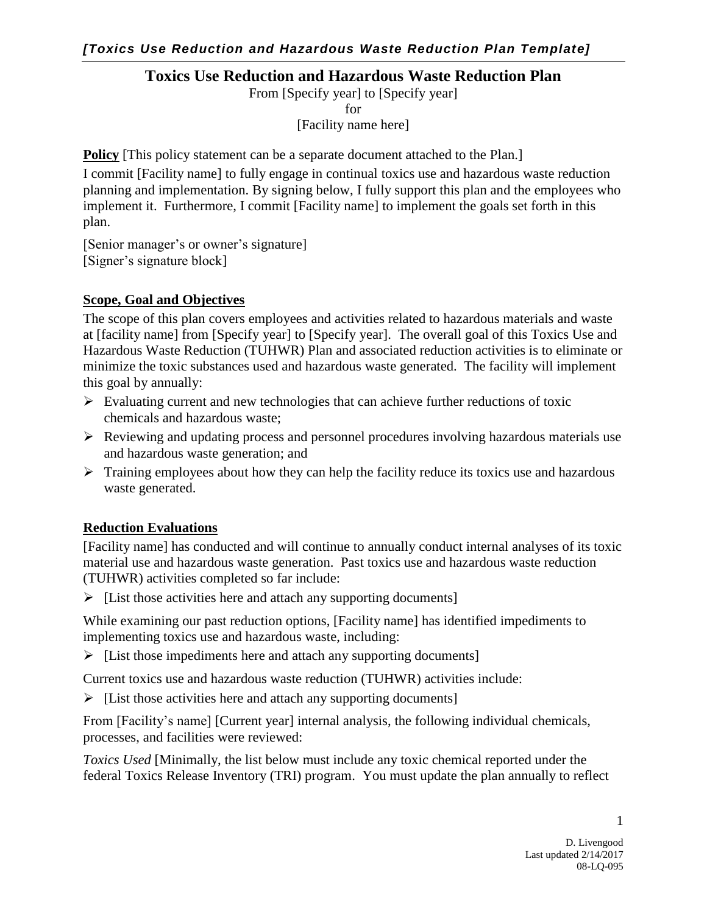## **Toxics Use Reduction and Hazardous Waste Reduction Plan**

From [Specify year] to [Specify year] for

[Facility name here]

**Policy** [This policy statement can be a separate document attached to the Plan.]

I commit [Facility name] to fully engage in continual toxics use and hazardous waste reduction planning and implementation. By signing below, I fully support this plan and the employees who implement it. Furthermore, I commit [Facility name] to implement the goals set forth in this plan.

[Senior manager's or owner's signature] [Signer's signature block]

## **Scope, Goal and Objectives**

The scope of this plan covers employees and activities related to hazardous materials and waste at [facility name] from [Specify year] to [Specify year]. The overall goal of this Toxics Use and Hazardous Waste Reduction (TUHWR) Plan and associated reduction activities is to eliminate or minimize the toxic substances used and hazardous waste generated. The facility will implement this goal by annually:

- $\triangleright$  Evaluating current and new technologies that can achieve further reductions of toxic chemicals and hazardous waste;
- $\triangleright$  Reviewing and updating process and personnel procedures involving hazardous materials use and hazardous waste generation; and
- $\triangleright$  Training employees about how they can help the facility reduce its toxics use and hazardous waste generated.

# **Reduction Evaluations**

[Facility name] has conducted and will continue to annually conduct internal analyses of its toxic material use and hazardous waste generation. Past toxics use and hazardous waste reduction (TUHWR) activities completed so far include:

 $\triangleright$  [List those activities here and attach any supporting documents]

While examining our past reduction options, [Facility name] has identified impediments to implementing toxics use and hazardous waste, including:

 $\triangleright$  [List those impediments here and attach any supporting documents]

Current toxics use and hazardous waste reduction (TUHWR) activities include:

 $\triangleright$  [List those activities here and attach any supporting documents]

From [Facility's name] [Current year] internal analysis, the following individual chemicals, processes, and facilities were reviewed:

*Toxics Used* [Minimally, the list below must include any toxic chemical reported under the federal Toxics Release Inventory (TRI) program. You must update the plan annually to reflect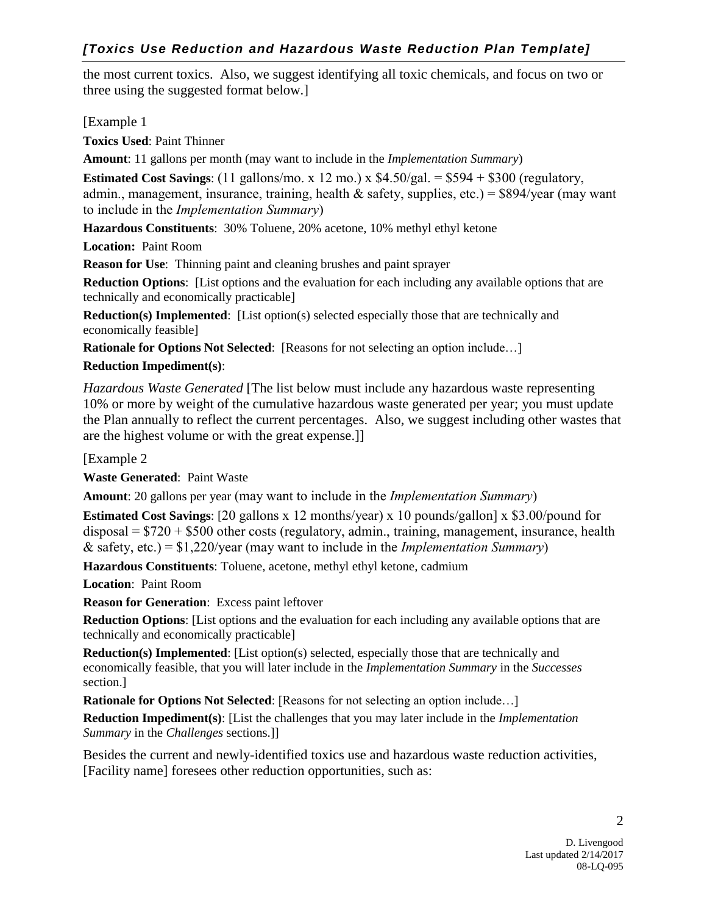the most current toxics. Also, we suggest identifying all toxic chemicals, and focus on two or three using the suggested format below.]

[Example 1]

**Toxics Used**: Paint Thinner

**Amount**: 11 gallons per month (may want to include in the *Implementation Summary*)

**Estimated Cost Savings:** (11 gallons/mo. x 12 mo.) x  $$4.50/gal. = $594 + $300$  (regulatory, admin., management, insurance, training, health  $\&$  safety, supplies, etc.) = \$894/year (may want to include in the *Implementation Summary*)

**Hazardous Constituents**: 30% Toluene, 20% acetone, 10% methyl ethyl ketone

**Location:** Paint Room

**Reason for Use**: Thinning paint and cleaning brushes and paint sprayer

**Reduction Options**: [List options and the evaluation for each including any available options that are technically and economically practicable]

**Reduction(s) Implemented:** [List option(s) selected especially those that are technically and economically feasible]

**Rationale for Options Not Selected:** [Reasons for not selecting an option include...]

# **Reduction Impediment(s)**:

*Hazardous Waste Generated* [The list below must include any hazardous waste representing 10% or more by weight of the cumulative hazardous waste generated per year; you must update the Plan annually to reflect the current percentages. Also, we suggest including other wastes that are the highest volume or with the great expense.]]

[Example 2

**Waste Generated**: Paint Waste

**Amount**: 20 gallons per year (may want to include in the *Implementation Summary*)

**Estimated Cost Savings**: [20 gallons x 12 months/year) x 10 pounds/gallon] x \$3.00/pound for disposal = \$720 + \$500 other costs (regulatory, admin., training, management, insurance, health & safety, etc.) = \$1,220/year (may want to include in the *Implementation Summary*)

**Hazardous Constituents**: Toluene, acetone, methyl ethyl ketone, cadmium

**Location**: Paint Room

**Reason for Generation**: Excess paint leftover

**Reduction Options**: [List options and the evaluation for each including any available options that are technically and economically practicable]

**Reduction(s) Implemented**: [List option(s) selected, especially those that are technically and economically feasible, that you will later include in the *Implementation Summary* in the *Successes* section.]

**Rationale for Options Not Selected:** [Reasons for not selecting an option include...]

**Reduction Impediment(s)**: [List the challenges that you may later include in the *Implementation Summary* in the *Challenges* sections.]]

Besides the current and newly-identified toxics use and hazardous waste reduction activities, [Facility name] foresees other reduction opportunities, such as: